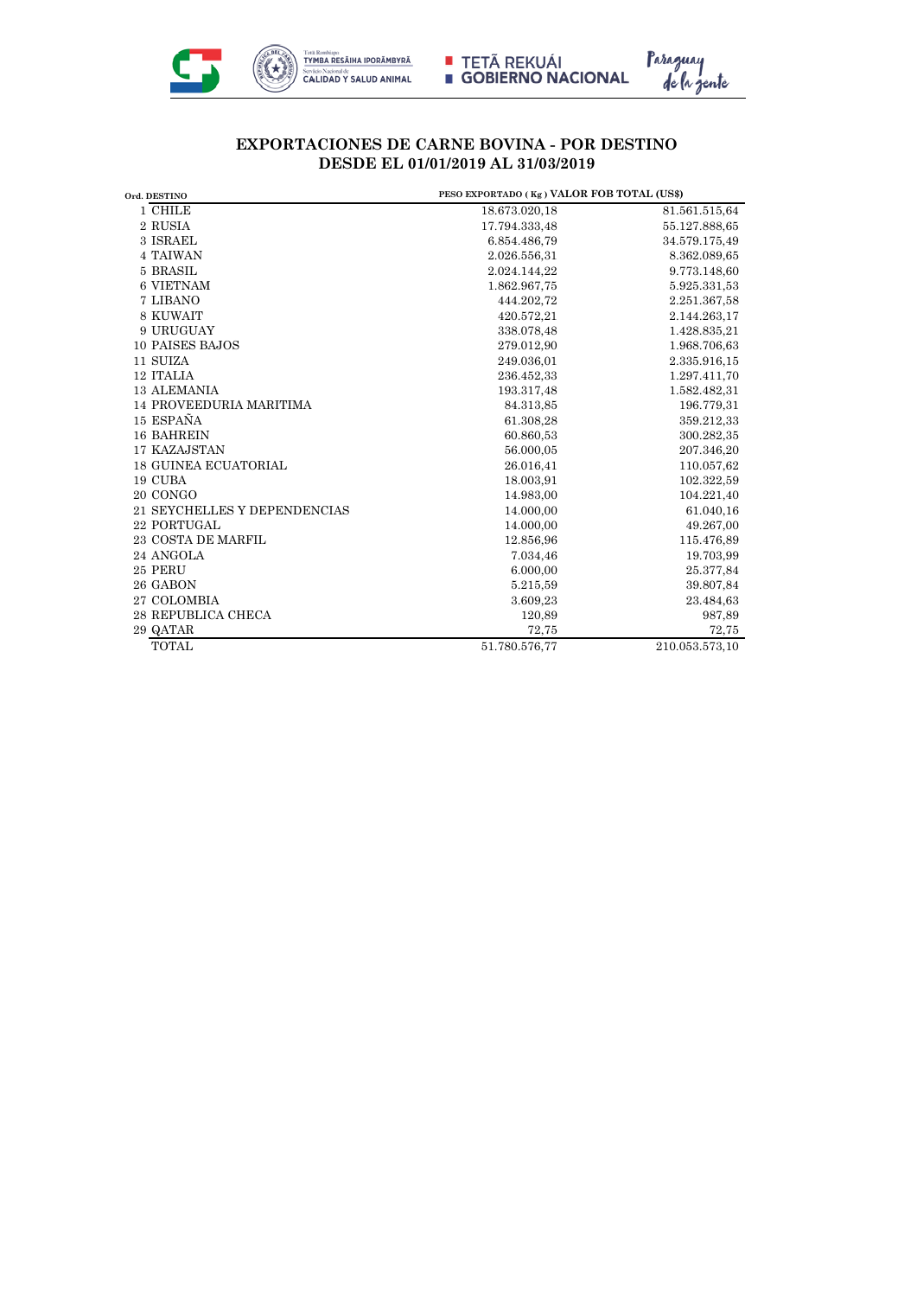

■ TETÃ REKUÁI<br>■ GOBIERNO NACIONAL



## **EXPORTACIONES DE CARNE BOVINA - POR DESTINO DESDE EL 01/01/2019 AL 31/03/2019**

| Ord. DESTINO                   |               | PESO EXPORTADO (Kg) VALOR FOB TOTAL (US\$) |  |
|--------------------------------|---------------|--------------------------------------------|--|
| 1 CHILE                        | 18.673.020,18 | 81.561.515,64                              |  |
| 2 RUSIA                        | 17.794.333,48 | 55.127.888,65                              |  |
| 3 ISRAEL                       | 6.854.486.79  | 34.579.175,49                              |  |
| <b>4 TAIWAN</b>                | 2.026.556,31  | 8.362.089,65                               |  |
| 5 BRASIL                       | 2.024.144,22  | 9.773.148,60                               |  |
| <b>6 VIETNAM</b>               | 1.862.967.75  | 5.925.331,53                               |  |
| 7 LIBANO                       | 444.202.72    | 2.251.367,58                               |  |
| 8 KUWAIT                       | 420.572,21    | 2.144.263,17                               |  |
| 9 URUGUAY                      | 338.078,48    | 1.428.835,21                               |  |
| 10 PAISES BAJOS                | 279.012,90    | 1.968.706,63                               |  |
| 11 SUIZA                       | 249.036,01    | 2.335.916,15                               |  |
| 12 ITALIA                      | 236.452,33    | 1.297.411,70                               |  |
| <b>13 ALEMANIA</b>             | 193.317,48    | 1.582.482,31                               |  |
| <b>14 PROVEEDURIA MARITIMA</b> | 84.313,85     | 196.779,31                                 |  |
| 15 ESPAÑA                      | 61.308,28     | 359.212,33                                 |  |
| <b>16 BAHREIN</b>              | 60.860,53     | 300.282,35                                 |  |
| 17 KAZAJSTAN                   | 56.000,05     | 207.346,20                                 |  |
| <b>18 GUINEA ECUATORIAL</b>    | 26.016,41     | 110.057,62                                 |  |
| 19 CUBA                        | 18.003,91     | 102.322,59                                 |  |
| 20 CONGO                       | 14.983,00     | 104.221,40                                 |  |
| 21 SEYCHELLES Y DEPENDENCIAS   | 14.000,00     | 61.040,16                                  |  |
| 22 PORTUGAL                    | 14.000,00     | 49.267,00                                  |  |
| <b>23 COSTA DE MARFIL</b>      | 12.856,96     | 115.476,89                                 |  |
| 24 ANGOLA                      | 7.034,46      | 19.703,99                                  |  |
| 25 PERU                        | 6.000,00      | 25.377,84                                  |  |
| 26 GABON                       | 5.215,59      | 39.807,84                                  |  |
| 27 COLOMBIA                    | 3.609,23      | 23.484,63                                  |  |
| <b>28 REPUBLICA CHECA</b>      | 120,89        | 987,89                                     |  |
| 29 QATAR                       | 72,75         | 72,75                                      |  |
| <b>TOTAL</b>                   | 51.780.576,77 | 210.053.573,10                             |  |